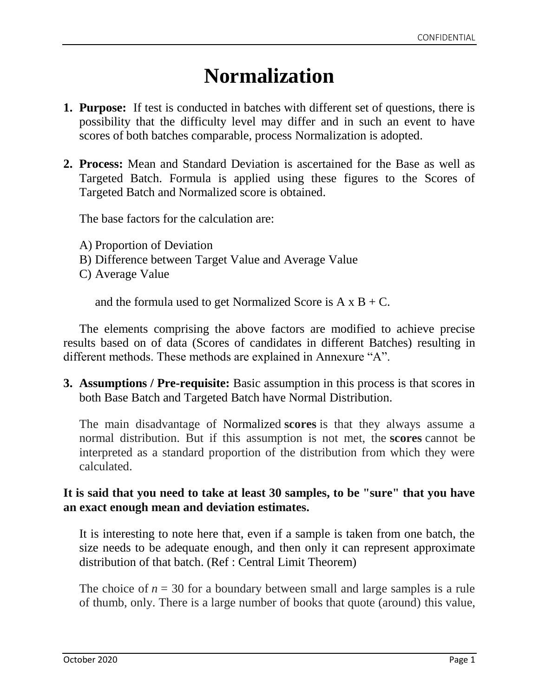# **Normalization**

- **1. Purpose:** If test is conducted in batches with different set of questions, there is possibility that the difficulty level may differ and in such an event to have scores of both batches comparable, process Normalization is adopted.
- **2. Process:** Mean and Standard Deviation is ascertained for the Base as well as Targeted Batch. Formula is applied using these figures to the Scores of Targeted Batch and Normalized score is obtained.

The base factors for the calculation are:

A) Proportion of Deviation B) Difference between Target Value and Average Value C) Average Value

and the formula used to get Normalized Score is  $A \times B + C$ .

The elements comprising the above factors are modified to achieve precise results based on of data (Scores of candidates in different Batches) resulting in different methods. These methods are explained in Annexure "A".

**3. Assumptions / Pre-requisite:** Basic assumption in this process is that scores in both Base Batch and Targeted Batch have Normal Distribution.

The main disadvantage of Normalized **scores** is that they always assume a normal distribution. But if this assumption is not met, the **scores** cannot be interpreted as a standard proportion of the distribution from which they were calculated.

#### **It is said that you need to take at least 30 samples, to be "sure" that you have an exact enough mean and deviation estimates.**

It is interesting to note here that, even if a sample is taken from one batch, the size needs to be adequate enough, and then only it can represent approximate distribution of that batch. (Ref : Central Limit Theorem)

The choice of  $n = 30$  for a boundary between small and large samples is a rule of thumb, only. There is a large number of books that quote (around) this value,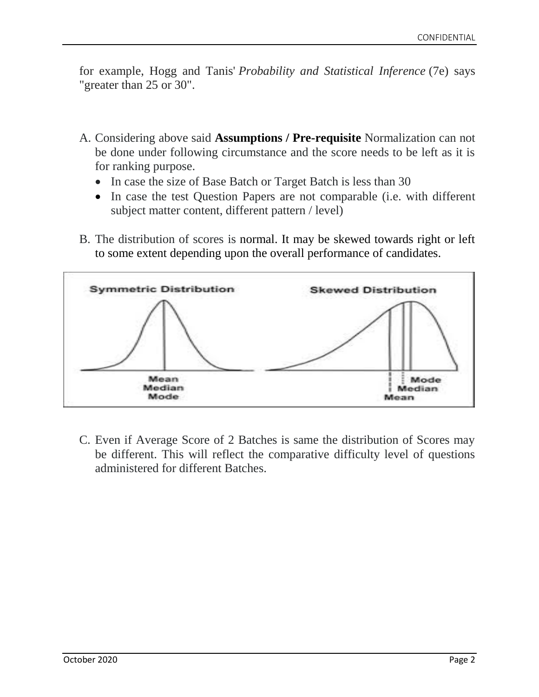for example, Hogg and Tanis' *Probability and Statistical Inference* (7e) says "greater than 25 or 30".

- A. Considering above said **Assumptions / Pre-requisite** Normalization can not be done under following circumstance and the score needs to be left as it is for ranking purpose.
	- In case the size of Base Batch or Target Batch is less than 30
	- In case the test Question Papers are not comparable (i.e. with different subject matter content, different pattern / level)
- B. The distribution of scores is normal. It may be skewed towards right or left to some extent depending upon the overall performance of candidates.



C. Even if Average Score of 2 Batches is same the distribution of Scores may be different. This will reflect the comparative difficulty level of questions administered for different Batches.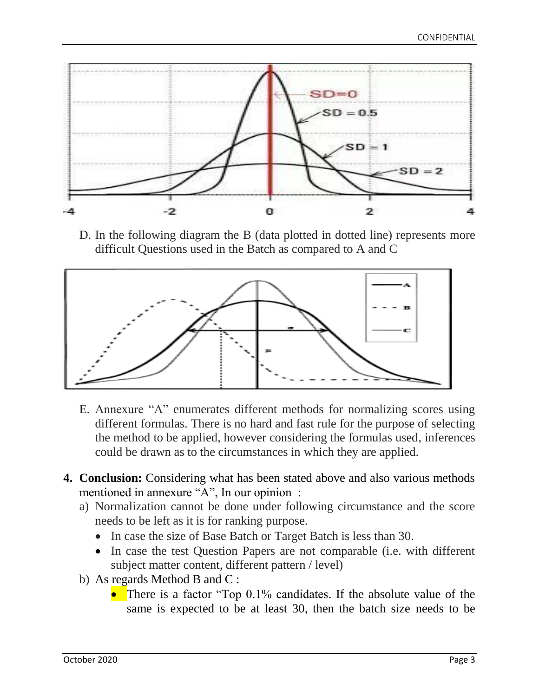

D. In the following diagram the B (data plotted in dotted line) represents more difficult Questions used in the Batch as compared to A and C



- E. Annexure "A" enumerates different methods for normalizing scores using different formulas. There is no hard and fast rule for the purpose of selecting the method to be applied, however considering the formulas used, inferences could be drawn as to the circumstances in which they are applied.
- **4. Conclusion:** Considering what has been stated above and also various methods mentioned in annexure "A", In our opinion :
	- a) Normalization cannot be done under following circumstance and the score needs to be left as it is for ranking purpose.
		- In case the size of Base Batch or Target Batch is less than 30.
		- In case the test Question Papers are not comparable (i.e. with different subject matter content, different pattern / level)
	- b) As regards Method B and C :
		- There is a factor "Top 0.1% candidates. If the absolute value of the same is expected to be at least 30, then the batch size needs to be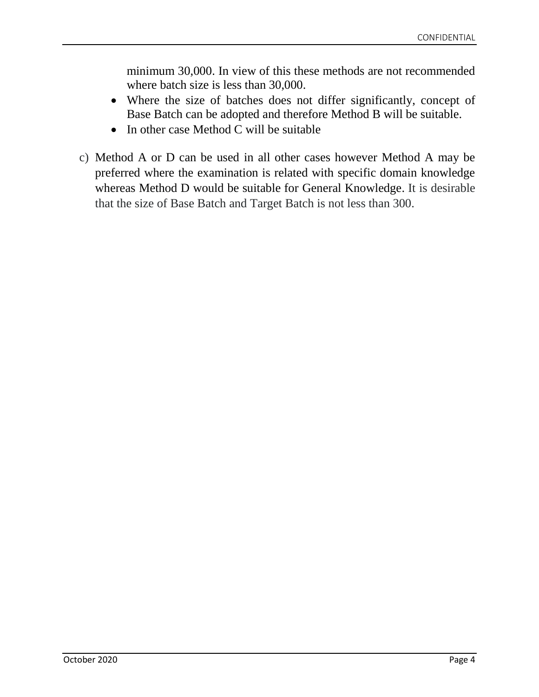minimum 30,000. In view of this these methods are not recommended where batch size is less than 30,000.

- Where the size of batches does not differ significantly, concept of Base Batch can be adopted and therefore Method B will be suitable.
- In other case Method C will be suitable
- c) Method A or D can be used in all other cases however Method A may be preferred where the examination is related with specific domain knowledge whereas Method D would be suitable for General Knowledge. It is desirable that the size of Base Batch and Target Batch is not less than 300.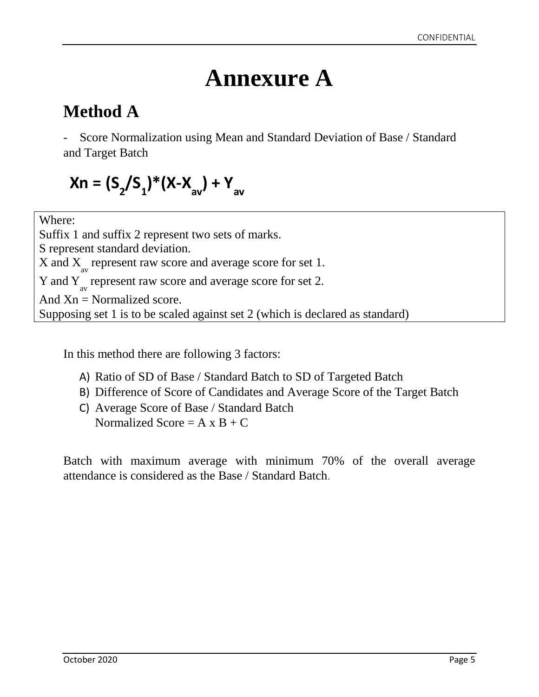# **Annexure A**

### **Method A**

Score Normalization using Mean and Standard Deviation of Base / Standard and Target Batch

$$
Xn = (S_2/S_1) * (X-X_{av}) + Y_{av}
$$

Where:

Suffix 1 and suffix 2 represent two sets of marks. S represent standard deviation.  $X$  and  $X_{av}$  represent raw score and average score for set 1. Y and  $Y_{av}$  represent raw score and average score for set 2. And  $X_n$  = Normalized score. Supposing set 1 is to be scaled against set 2 (which is declared as standard)

In this method there are following 3 factors:

- A) Ratio of SD of Base / Standard Batch to SD of Targeted Batch
- B) Difference of Score of Candidates and Average Score of the Target Batch
- C) Average Score of Base / Standard Batch Normalized Score =  $A \times B + C$

Batch with maximum average with minimum 70% of the overall average attendance is considered as the Base / Standard Batch.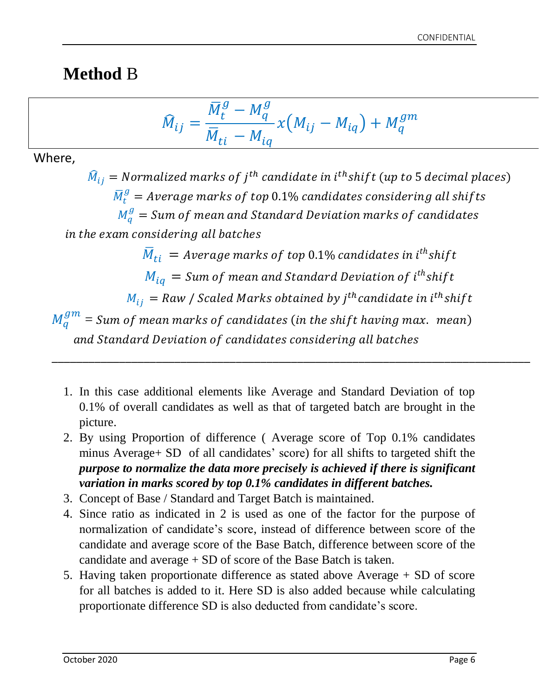### **Method** B

$$
\widehat{M}_{ij} = \frac{\overline{M}_t^g - M_q^g}{\overline{M}_{ti} - M_{iq}} \chi \big( M_{ij} - M_{iq} \big) + M_q^{gm}
$$

Where,

 $\widehat{M}_{ij} = \emph{Normalized marks of $j^{th}$ candidate in $i^{th}$ shift ($up$ to $5$ decimal places)}$  $\bar{M}^g_t = Average$  marks of top  $0.1\%$  candidates considering all shifts  $M_q^g = Sum$  of mean and Standard Deviation marks of candidates in the exam considering all batches  $\bar{M}_{ti}\,=\,$  Average marks of top 0.1% candidates in i $^{th}$ shift  $M_{i q} = {\it Sum \ of \ mean}$  and Standard Deviation of  $i^{th}$ shift  $M^{}_{ij} =$  Raw / Scaled Marks obtained by j $^{th}$ candidate in i $^{th}$ shift  $M_q^{gm} =$  Sum of mean marks of candidates (in the shift having max. mean) and Standard Deviation of candidates considering all batches

\_\_\_\_\_\_\_\_\_\_\_\_\_\_\_\_\_\_\_\_\_\_\_\_\_\_\_\_\_\_\_\_\_\_\_\_\_\_\_\_\_\_\_\_\_\_\_\_\_\_\_\_\_\_\_\_\_\_\_\_\_\_\_\_\_\_\_\_\_\_\_\_\_\_\_\_\_\_

- 1. In this case additional elements like Average and Standard Deviation of top 0.1% of overall candidates as well as that of targeted batch are brought in the picture.
- 2. By using Proportion of difference ( Average score of Top 0.1% candidates minus Average+ SD of all candidates' score) for all shifts to targeted shift the *purpose to normalize the data more precisely is achieved if there is significant variation in marks scored by top 0.1% candidates in different batches.*
- 3. Concept of Base / Standard and Target Batch is maintained.
- 4. Since ratio as indicated in 2 is used as one of the factor for the purpose of normalization of candidate's score, instead of difference between score of the candidate and average score of the Base Batch, difference between score of the candidate and average + SD of score of the Base Batch is taken.
- 5. Having taken proportionate difference as stated above Average + SD of score for all batches is added to it. Here SD is also added because while calculating proportionate difference SD is also deducted from candidate's score.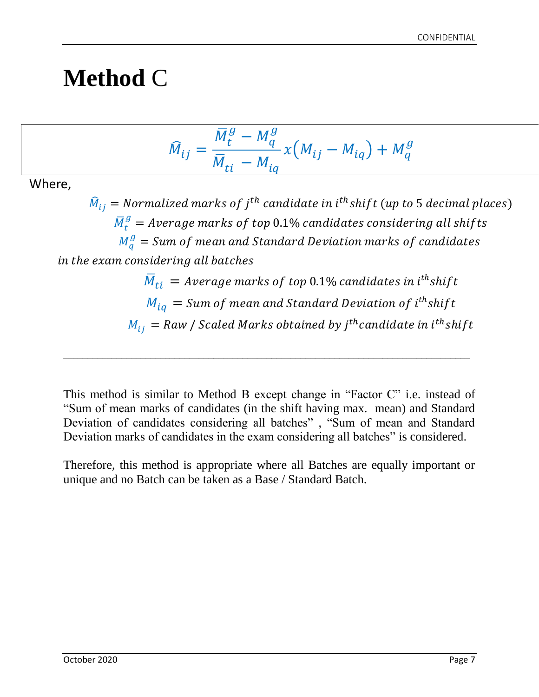# **Method** C

$$
\widehat{M}_{ij} = \frac{\overline{M}_t^g - M_q^g}{\overline{M}_{ti} - M_{iq}} x (M_{ij} - M_{iq}) + M_q^g
$$

Where,

 $\widehat{M}_{ij} = \emph{Normalized marks of $j^{th}$ candidate in $i^{th}$ shift (up to 5 decimal places)}$  $\bar{M}^g_t =$  Average marks of top  $0.1\%$  candidates considering all shifts  $M_q^g = \emph{Sum of mean and Standard Deviation marks of candidates}$ in the exam considering all batches  $\overline{M}_{ti}\,=\,$  Average marks of top 0.1% candidates in i $^{th}$ shift  $M_{iq} = Sum$  of mean and Standard Deviation of i $^{th}$ shift

 $M_{ij} = Raw$  / Scaled Marks obtained by j $^{th}$ candidate in i $^{th}$ shift

This method is similar to Method B except change in "Factor C" i.e. instead of "Sum of mean marks of candidates (in the shift having max. mean) and Standard Deviation of candidates considering all batches" , "Sum of mean and Standard Deviation marks of candidates in the exam considering all batches" is considered.

\_\_\_\_\_\_\_\_\_\_\_\_\_\_\_\_\_\_\_\_\_\_\_\_\_\_\_\_\_\_\_\_\_\_\_\_\_\_\_\_\_\_\_\_\_\_\_\_\_\_\_\_\_\_\_\_\_\_\_\_\_\_\_\_\_\_\_\_\_\_\_\_\_\_\_\_\_\_\_\_\_\_\_\_

Therefore, this method is appropriate where all Batches are equally important or unique and no Batch can be taken as a Base / Standard Batch.